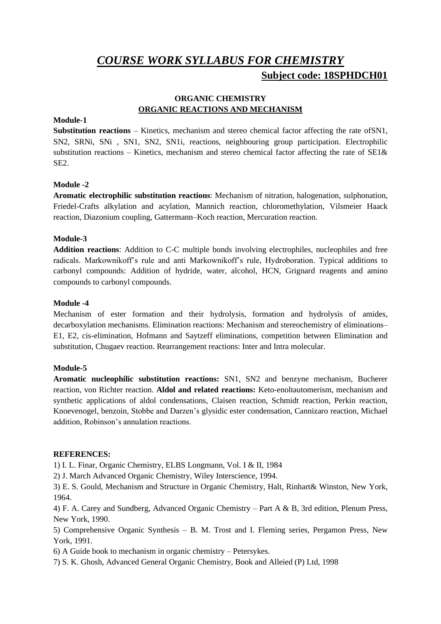# *COURSE WORK SYLLABUS FOR CHEMISTRY* **Subject code: 18SPHDCH01**

# **ORGANIC CHEMISTRY ORGANIC REACTIONS AND MECHANISM**

### **Module-1**

**Substitution reactions** – Kinetics, mechanism and stereo chemical factor affecting the rate ofSN1, SN2, SRNi, SNi , SN1, SN2, SN1i, reactions, neighbouring group participation. Electrophilic substitution reactions – Kinetics, mechanism and stereo chemical factor affecting the rate of  $SE1\&$ SE2.

# **Module -2**

**Aromatic electrophilic substitution reactions**: Mechanism of nitration, halogenation, sulphonation, Friedel-Crafts alkylation and acylation, Mannich reaction, chloromethylation, Vilsmeier Haack reaction, Diazonium coupling, Gattermann–Koch reaction, Mercuration reaction.

# **Module-3**

**Addition reactions**: Addition to C-C multiple bonds involving electrophiles, nucleophiles and free radicals. Markownikoff's rule and anti Markownikoff's rule, Hydroboration. Typical additions to carbonyl compounds: Addition of hydride, water, alcohol, HCN, Grignard reagents and amino compounds to carbonyl compounds.

# **Module -4**

Mechanism of ester formation and their hydrolysis, formation and hydrolysis of amides, decarboxylation mechanisms. Elimination reactions: Mechanism and stereochemistry of eliminations– E1, E2, cis-elimination, Hofmann and Saytzeff eliminations, competition between Elimination and substitution, Chugaev reaction. Rearrangement reactions: Inter and Intra molecular.

#### **Module-5**

**Aromatic nucleophilic substitution reactions:** SN1, SN2 and benzyne mechanism, Bucherer reaction, von Richter reaction. **Aldol and related reactions:** Keto-enoltautomerism, mechanism and synthetic applications of aldol condensations, Claisen reaction, Schmidt reaction, Perkin reaction, Knoevenogel, benzoin, Stobbe and Darzen's glysidic ester condensation, Cannizaro reaction, Michael addition, Robinson's annulation reactions.

#### **REFERENCES:**

1) I. L. Finar, Organic Chemistry, ELBS Longmann, Vol. I & II, 1984

2) J. March Advanced Organic Chemistry, Wiley Interscience, 1994.

3) E. S. Gould, Mechanism and Structure in Organic Chemistry, Halt, Rinhart& Winston, New York, 1964.

4) F. A. Carey and Sundberg, Advanced Organic Chemistry – Part A & B, 3rd edition, Plenum Press, New York, 1990.

5) Comprehensive Organic Synthesis – B. M. Trost and I. Fleming series, Pergamon Press, New York, 1991.

6) A Guide book to mechanism in organic chemistry – Petersykes.

7) S. K. Ghosh, Advanced General Organic Chemistry, Book and Alleied (P) Ltd, 1998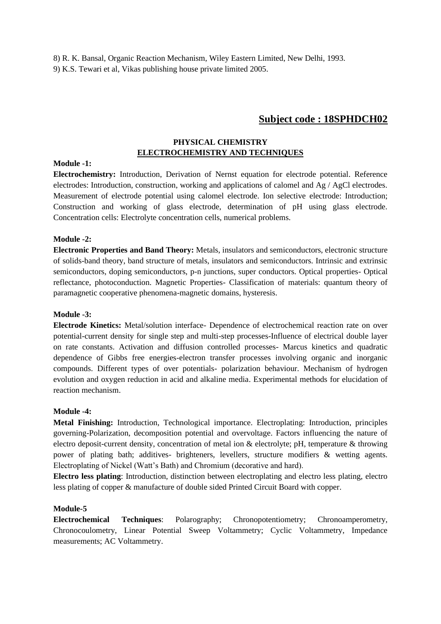8) R. K. Bansal, Organic Reaction Mechanism, Wiley Eastern Limited, New Delhi, 1993. 9) K.S. Tewari et al, Vikas publishing house private limited 2005.

# **Subject code : 18SPHDCH02**

# **PHYSICAL CHEMISTRY ELECTROCHEMISTRY AND TECHNIQUES**

#### **Module -1:**

**Electrochemistry:** Introduction, Derivation of Nernst equation for electrode potential. Reference electrodes: Introduction, construction, working and applications of calomel and Ag / AgCl electrodes. Measurement of electrode potential using calomel electrode. Ion selective electrode: Introduction; Construction and working of glass electrode, determination of pH using glass electrode. Concentration cells: Electrolyte concentration cells, numerical problems.

#### **Module -2:**

**Electronic Properties and Band Theory:** Metals, insulators and semiconductors, electronic structure of solids-band theory, band structure of metals, insulators and semiconductors. Intrinsic and extrinsic semiconductors, doping semiconductors, p-n junctions, super conductors. Optical properties- Optical reflectance, photoconduction. Magnetic Properties- Classification of materials: quantum theory of paramagnetic cooperative phenomena-magnetic domains, hysteresis.

#### **Module -3:**

**Electrode Kinetics:** Metal/solution interface- Dependence of electrochemical reaction rate on over potential-current density for single step and multi-step processes-Influence of electrical double layer on rate constants. Activation and diffusion controlled processes- Marcus kinetics and quadratic dependence of Gibbs free energies-electron transfer processes involving organic and inorganic compounds. Different types of over potentials- polarization behaviour. Mechanism of hydrogen evolution and oxygen reduction in acid and alkaline media. Experimental methods for elucidation of reaction mechanism.

#### **Module -4:**

**Metal Finishing:** Introduction, Technological importance. Electroplating: Introduction, principles governing-Polarization, decomposition potential and overvoltage. Factors influencing the nature of electro deposit-current density, concentration of metal ion & electrolyte; pH, temperature & throwing power of plating bath; additives- brighteners, levellers, structure modifiers & wetting agents. Electroplating of Nickel (Watt's Bath) and Chromium (decorative and hard).

**Electro less plating**: Introduction, distinction between electroplating and electro less plating, electro less plating of copper & manufacture of double sided Printed Circuit Board with copper.

#### **Module-5**

**Electrochemical Techniques**: Polarography; Chronopotentiometry; Chronoamperometry, Chronocoulometry, Linear Potential Sweep Voltammetry; Cyclic Voltammetry, Impedance measurements; AC Voltammetry.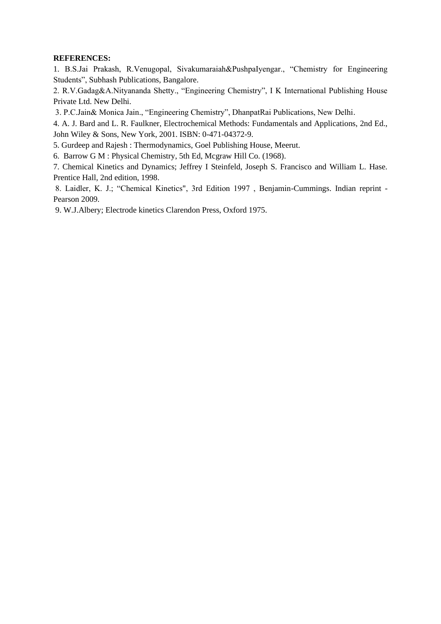# **REFERENCES:**

1. B.S.Jai Prakash, R.Venugopal, Sivakumaraiah&PushpaIyengar., "Chemistry for Engineering Students", Subhash Publications, Bangalore.

2. R.V.Gadag&A.Nityananda Shetty., "Engineering Chemistry", I K International Publishing House Private Ltd. New Delhi.

3. P.C.Jain& Monica Jain., "Engineering Chemistry", DhanpatRai Publications, New Delhi.

4. A. J. Bard and L. R. Faulkner, Electrochemical Methods: Fundamentals and Applications, 2nd Ed., John Wiley & Sons, New York, 2001. ISBN: 0-471-04372-9.

5. Gurdeep and Rajesh : Thermodynamics, Goel Publishing House, Meerut.

6. Barrow G M : Physical Chemistry, 5th Ed, Mcgraw Hill Co. (1968).

7. Chemical Kinetics and Dynamics; Jeffrey I Steinfeld, Joseph S. Francisco and William L. Hase. Prentice Hall, 2nd edition, 1998.

8. Laidler, K. J.; "Chemical Kinetics", 3rd Edition 1997 , Benjamin-Cummings. Indian reprint - Pearson 2009.

9. W.J.Albery; Electrode kinetics Clarendon Press, Oxford 1975.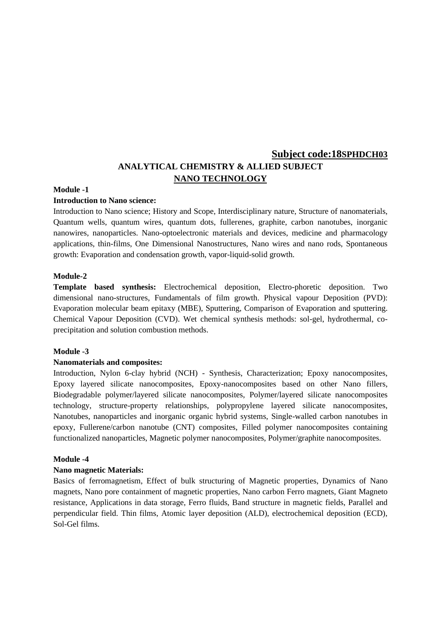# **Subject code:18SPHDCH03 ANALYTICAL CHEMISTRY & ALLIED SUBJECT NANO TECHNOLOGY**

#### **Module -1**

#### **Introduction to Nano science:**

Introduction to Nano science; History and Scope, Interdisciplinary nature, Structure of nanomaterials, Quantum wells, quantum wires, quantum dots, fullerenes, graphite, carbon nanotubes, inorganic nanowires, nanoparticles. Nano-optoelectronic materials and devices, medicine and pharmacology applications, thin-films, One Dimensional Nanostructures, Nano wires and nano rods, Spontaneous growth: Evaporation and condensation growth, vapor-liquid-solid growth.

#### **Module-2**

**Template based synthesis:** Electrochemical deposition, Electro-phoretic deposition. Two dimensional nano-structures, Fundamentals of film growth. Physical vapour Deposition (PVD): Evaporation molecular beam epitaxy (MBE), Sputtering, Comparison of Evaporation and sputtering. Chemical Vapour Deposition (CVD). Wet chemical synthesis methods: sol-gel, hydrothermal, coprecipitation and solution combustion methods.

#### **Module -3**

#### **Nanomaterials and composites:**

Introduction, Nylon 6-clay hybrid (NCH) - Synthesis, Characterization; Epoxy nanocomposites, Epoxy layered silicate nanocomposites, Epoxy-nanocomposites based on other Nano fillers, Biodegradable polymer/layered silicate nanocomposites, Polymer/layered silicate nanocomposites technology, structure-property relationships, polypropylene layered silicate nanocomposites, Nanotubes, nanoparticles and inorganic organic hybrid systems, Single-walled carbon nanotubes in epoxy, Fullerene/carbon nanotube (CNT) composites, Filled polymer nanocomposites containing functionalized nanoparticles, Magnetic polymer nanocomposites, Polymer/graphite nanocomposites.

#### **Module -4**

#### **Nano magnetic Materials:**

Basics of ferromagnetism, Effect of bulk structuring of Magnetic properties, Dynamics of Nano magnets, Nano pore containment of magnetic properties, Nano carbon Ferro magnets, Giant Magneto resistance, Applications in data storage, Ferro fluids, Band structure in magnetic fields, Parallel and perpendicular field. Thin films, Atomic layer deposition (ALD), electrochemical deposition (ECD), Sol-Gel films.